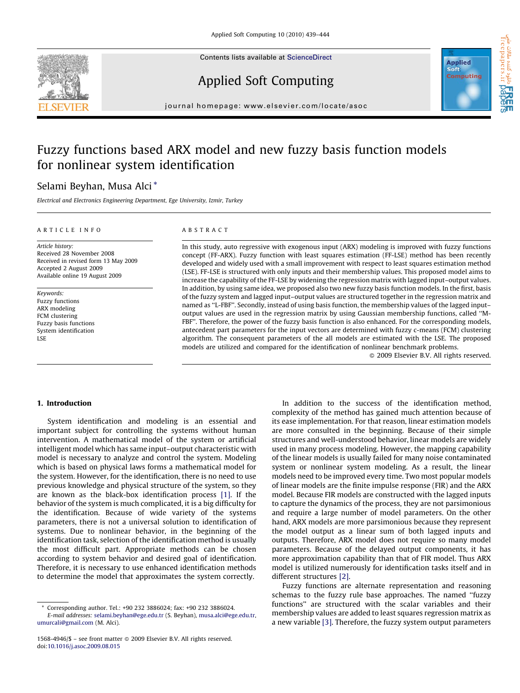

Contents lists available at [ScienceDirect](http://www.sciencedirect.com/science/journal/15684946)

Applied Soft Computing



Jele Cylas auto sails FREE

journal homepage: www.elsevier.com/locate/asoc

# Fuzzy functions based ARX model and new fuzzy basis function models for nonlinear system identification

# Selami Beyhan, Musa Alci \*

Electrical and Electronics Engineering Department, Ege University, Izmir, Turkey

#### ARTICLE INFO

Article history: Received 28 November 2008 Received in revised form 13 May 2009 Accepted 2 August 2009 Available online 19 August 2009

Keywords: Fuzzy functions ARX modeling FCM clustering Fuzzy basis functions System identification **LSE** 

# ABSTRACT

In this study, auto regressive with exogenous input (ARX) modeling is improved with fuzzy functions concept (FF-ARX). Fuzzy function with least squares estimation (FF-LSE) method has been recently developed and widely used with a small improvement with respect to least squares estimation method (LSE). FF-LSE is structured with only inputs and their membership values. This proposed model aims to increase the capability of the FF-LSE by widening the regression matrix with lagged input–output values. In addition, by using same idea, we proposed also two new fuzzy basis function models. In the first, basis of the fuzzy system and lagged input–output values are structured together in the regression matrix and named as ''L-FBF''. Secondly, instead of using basis function, the membership values of the lagged input– output values are used in the regression matrix by using Gaussian membership functions, called ''M-FBF''. Therefore, the power of the fuzzy basis function is also enhanced. For the corresponding models, antecedent part parameters for the input vectors are determined with fuzzy c-means (FCM) clustering algorithm. The consequent parameters of the all models are estimated with the LSE. The proposed models are utilized and compared for the identification of nonlinear benchmark problems.

 $\odot$  2009 Elsevier B.V. All rights reserved.

## 1. Introduction

System identification and modeling is an essential and important subject for controlling the systems without human intervention. A mathematical model of the system or artificial intelligent model which has same input–output characteristic with model is necessary to analyze and control the system. Modeling which is based on physical laws forms a mathematical model for the system. However, for the identification, there is no need to use previous knowledge and physical structure of the system, so they are known as the black-box identification process [\[1\].](#page-5-0) If the behavior of the system is much complicated, it is a big difficulty for the identification. Because of wide variety of the systems parameters, there is not a universal solution to identification of systems. Due to nonlinear behavior, in the beginning of the identification task, selection of the identification method is usually the most difficult part. Appropriate methods can be chosen according to system behavior and desired goal of identification. Therefore, it is necessary to use enhanced identification methods to determine the model that approximates the system correctly.

In addition to the success of the identification method, complexity of the method has gained much attention because of its ease implementation. For that reason, linear estimation models are more consulted in the beginning. Because of their simple structures and well-understood behavior, linear models are widely used in many process modeling. However, the mapping capability of the linear models is usually failed for many noise contaminated system or nonlinear system modeling. As a result, the linear models need to be improved every time. Two most popular models of linear models are the finite impulse response (FIR) and the ARX model. Because FIR models are constructed with the lagged inputs to capture the dynamics of the process, they are not parsimonious and require a large number of model parameters. On the other hand, ARX models are more parsimonious because they represent the model output as a linear sum of both lagged inputs and outputs. Therefore, ARX model does not require so many model parameters. Because of the delayed output components, it has more approximation capability than that of FIR model. Thus ARX model is utilized numerously for identification tasks itself and in different structures [\[2\].](#page-5-0)

Fuzzy functions are alternate representation and reasoning schemas to the fuzzy rule base approaches. The named ''fuzzy functions'' are structured with the scalar variables and their membership values are added to least squares regression matrix as a new variable [\[3\]](#page-5-0). Therefore, the fuzzy system output parameters

<sup>\*</sup> Corresponding author. Tel.: +90 232 3886024; fax: +90 232 3886024. E-mail addresses: [selami.beyhan@ege.edu.tr](mailto:selami.beyhan@ege.edu.tr) (S. Beyhan), [musa.alci@ege.edu.tr](mailto:musa.alci@ege.edu.tr), [umurcali@gmail.com](mailto:umurcali@gmail.com) (M. Alci).

<sup>1568-4946/\$ -</sup> see front matter @ 2009 Elsevier B.V. All rights reserved. doi:[10.1016/j.asoc.2009.08.015](http://dx.doi.org/10.1016/j.asoc.2009.08.015)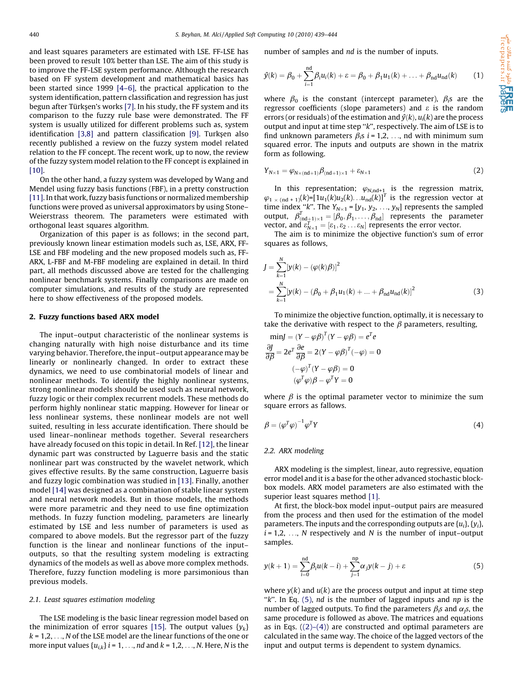<span id="page-1-0"></span>and least squares parameters are estimated with LSE. FF-LSE has been proved to result 10% better than LSE. The aim of this study is to improve the FF-LSE system performance. Although the research based on FF system development and mathematical basics has been started since 1999 [\[4–6\]](#page-5-0), the practical application to the system identification, pattern classification and regression has just begun after Türkşen's works [\[7\].](#page-5-0) In his study, the FF system and its comparison to the fuzzy rule base were demonstrated. The FF system is usually utilized for different problems such as, system identification  $[3,8]$  and pattern classification  $[9]$ . Turksen also recently published a review on the fuzzy system model related relation to the FF concept. The recent work, up to now, the review of the fuzzy system model relation to the FF concept is explained in [\[10\]](#page-5-0).

On the other hand, a fuzzy system was developed by Wang and Mendel using fuzzy basis functions (FBF), in a pretty construction [\[11\]](#page-5-0). In that work, fuzzy basis functions or normalized membership functions were proved as universal approximators by using Stone– Weierstrass theorem. The parameters were estimated with orthogonal least squares algorithm.

Organization of this paper is as follows; in the second part, previously known linear estimation models such as, LSE, ARX, FF-LSE and FBF modeling and the new proposed models such as, FF-ARX, L-FBF and M-FBF modeling are explained in detail. In third part, all methods discussed above are tested for the challenging nonlinear benchmark systems. Finally comparisons are made on computer simulations, and results of the study are represented here to show effectiveness of the proposed models.

# 2. Fuzzy functions based ARX model

The input–output characteristic of the nonlinear systems is changing naturally with high noise disturbance and its time varying behavior. Therefore, the input–output appearance may be linearly or nonlinearly changed. In order to extract these dynamics, we need to use combinatorial models of linear and nonlinear methods. To identify the highly nonlinear systems, strong nonlinear models should be used such as neural network, fuzzy logic or their complex recurrent models. These methods do perform highly nonlinear static mapping. However for linear or less nonlinear systems, these nonlinear models are not well suited, resulting in less accurate identification. There should be used linear–nonlinear methods together. Several researchers have already focused on this topic in detail. In Ref. [\[12\],](#page-5-0) the linear dynamic part was constructed by Laguerre basis and the static nonlinear part was constructed by the wavelet network, which gives effective results. By the same construction, Laguerre basis and fuzzy logic combination was studied in [\[13\].](#page-5-0) Finally, another model [\[14\]](#page-5-0) was designed as a combination of stable linear system and neural network models. But in those models, the methods were more parametric and they need to use fine optimization methods. In fuzzy function modeling, parameters are linearly estimated by LSE and less number of parameters is used as compared to above models. But the regressor part of the fuzzy function is the linear and nonlinear functions of the input– outputs, so that the resulting system modeling is extracting dynamics of the models as well as above more complex methods. Therefore, fuzzy function modeling is more parsimonious than previous models.

#### 2.1. Least squares estimation modeling

The LSE modeling is the basic linear regression model based on the minimization of error squares [\[15\].](#page-5-0) The output values  $\{y_k\}$  $k = 1, 2, \ldots, N$  of the LSE model are the linear functions of the one or more input values  $\{u_{i,k}\}\$ i = 1, ..., nd and  $k = 1, 2, \ldots, N$ . Here, N is the number of samples and nd is the number of inputs.

$$
\hat{y}(k) = \beta_0 + \sum_{i=1}^{nd} \beta_i u_i(k) + \varepsilon = \beta_0 + \beta_1 u_1(k) + \dots + \beta_{nd} u_{nd}(k) \tag{1}
$$

where  $\beta_0$  is the constant (intercept parameter),  $\beta_i$ s are the regressor coefficients (slope parameters) and  $\varepsilon$  is the random errors (or residuals) of the estimation and  $\hat{y}(k)$ ,  $u_i(k)$  are the process output and input at time step ''k'', respectively. The aim of LSE is to find unknown parameters  $\beta_i$ s *i* = 1,2, ..., nd with minimum sum squared error. The inputs and outputs are shown in the matrix form as following.

$$
Y_{N\times 1} = \varphi_{N\times (nd+1)}\beta_{(nd+1)\times 1} + \varepsilon_{N\times 1}
$$
\n(2)

In this representation;  $\varphi_{N,nd+1}$  is the regression matrix,  $\varphi_{1 \times (nd + 1)}(k)$ =[1u<sub>1</sub>(k)u<sub>2</sub>(k)...u<sub>nd</sub>(k)]<sup>T</sup> is the regression vector at time index "k". The  $Y_{N\times 1}$  = [ $y_1, y_2, ..., y_N$ ] represents the sampled output,  $\beta_{(nd+1)\times 1}^T = [\beta_0, \beta_1, \ldots, \beta_{nd}]$  represents the parameter vector, and  $\varepsilon_{N\times 1}^T = [\varepsilon_1, \varepsilon_2 \dots \varepsilon_N]$  represents the error vector.

The aim is to minimize the objective function's sum of error squares as follows,

$$
J = \sum_{k=1}^{N} \left[ y(k) - (\varphi(k)\beta) \right]^2
$$
  
= 
$$
\sum_{k=1}^{N} \left[ y(k) - (\beta_0 + \beta_1 u_1(k) + \dots + \beta_{nd} u_{nd}(k)) \right]^2
$$
 (3)

To minimize the objective function, optimally, it is necessary to take the derivative with respect to the  $\beta$  parameters, resulting,

$$
\min J = (Y - \varphi \beta)^T (Y - \varphi \beta) = e^T e
$$

$$
\frac{\partial J}{\partial \beta} = 2e^T \frac{\partial e}{\partial \beta} = 2(Y - \varphi \beta)^T (-\varphi) = 0
$$

$$
(-\varphi)^T (Y - \varphi \beta) = 0
$$

$$
(\varphi^T \varphi) \beta - \varphi^T Y = 0
$$

where  $\beta$  is the optimal parameter vector to minimize the sum square errors as fallows.

$$
\beta = (\varphi^T \varphi)^{-1} \varphi^T Y \tag{4}
$$

# 2.2. ARX modeling

ARX modeling is the simplest, linear, auto regressive, equation error model and it is a base for the other advanced stochastic blockbox models. ARX model parameters are also estimated with the superior least squares method [\[1\]](#page-5-0).

At first, the block-box model input–output pairs are measured from the process and then used for the estimation of the model parameters. The inputs and the corresponding outputs are  $\{u_i\}$ ,  $\{v_i\}$ ,  $i = 1, 2, \ldots, N$  respectively and N is the number of input–output samples.

$$
y(k+1) = \sum_{i=0}^{nd} \beta_i u(k-i) + \sum_{j=1}^{np} \alpha_j y(k-j) + \varepsilon
$$
 (5)

where  $y(k)$  and  $u(k)$  are the process output and input at time step " $k$ ". In Eq. (5), nd is the number of lagged inputs and np is the number of lagged outputs. To find the parameters  $\beta_i$ s and  $\alpha_i$ s, the same procedure is followed as above. The matrices and equations as in Eqs.  $((2)-(4))$  are constructed and optimal parameters are calculated in the same way. The choice of the lagged vectors of the input and output terms is dependent to system dynamics.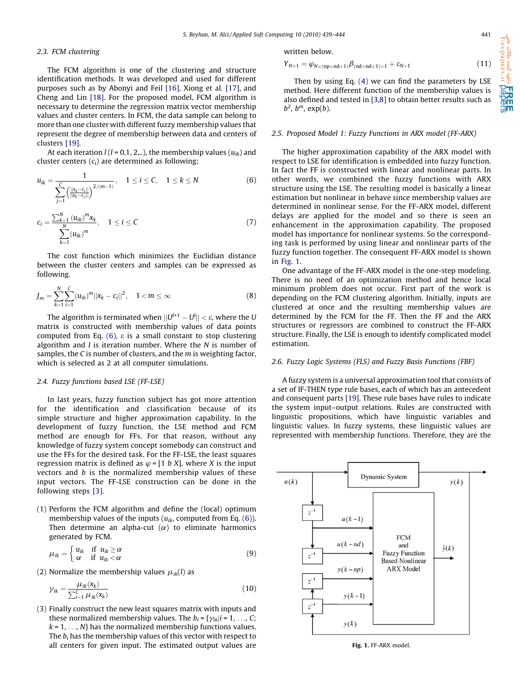# <span id="page-2-0"></span>2.3. FCM clustering

The FCM algorithm is one of the clustering and structure identification methods. It was developed and used for different purposes such as by Abonyi and Feil [\[16\]](#page-5-0), Xiong et al. [\[17\]](#page-5-0), and Cheng and Lin [\[18\].](#page-5-0) For the proposed model, FCM algorithm is necessary to determine the regression matrix vector membership values and cluster centers. In FCM, the data sample can belong to more than one cluster with different fuzzy membership values that represent the degree of membership between data and centers of clusters [\[19\].](#page-5-0)

At each iteration  $l$  ( $l$  = 0,1, 2,..), the membership values ( $u_{ik}$ ) and cluster centers  $(c_i)$  are determined as following;

$$
u_{ik} = \frac{1}{\sum_{j=1}^{C} \left( \frac{||x_k - c_j||}{||x_k - c_j||} \right)^{2/(m-1)}}, \quad 1 \le i \le C, \quad 1 \le k \le N
$$
 (6)

$$
c_{i} = \frac{\sum_{k=1}^{N} (u_{ik})^{m} x_{k}}{\sum_{k=1}^{N} (u_{ik})^{m}}, \quad 1 \leq i \leq C
$$
 (7)

The cost function which minimizes the Euclidian distance between the cluster centers and samples can be expressed as following.

$$
J_m = \sum_{k=1}^{N} \sum_{i=1}^{C} (u_{ik})^m ||x_k - c_i||^2, \quad 1 < m \le \infty
$$
 (8)

The algorithm is terminated when  $||U^{l+1} - U^l|| < \varepsilon$ , where the  $U$ matrix is constructed with membership values of data points computed from Eq. (6),  $\varepsilon$  is a small constant to stop clustering algorithm and  $l$  is iteration number. Where the  $N$  is number of samples, the  $C$  is number of clusters, and the  $m$  is weighting factor, which is selected as 2 at all computer simulations.

## 2.4. Fuzzy functions based LSE (FF-LSE)

In last years, fuzzy function subject has got more attention for the identification and classification because of its simple structure and higher approximation capability. In the development of fuzzy function, the LSE method and FCM method are enough for FFs. For that reason, without any knowledge of fuzzy system concept somebody can construct and use the FFs for the desired task. For the FF-LSE, the least squares regression matrix is defined as  $\varphi = [1 \; b \; X]$ , where X is the input vectors and  $b$  is the normalized membership values of these input vectors. The FF-LSE construction can be done in the following steps [\[3\]](#page-5-0).

(1) Perform the FCM algorithm and define the (local) optimum membership values of the inputs ( $u_{ik}$ , computed from Eq. (6)). Then determine an alpha-cut  $(\alpha)$  to eliminate harmonics generated by FCM.

$$
\mu_{ik} = \begin{cases} u_{ik} & \text{if } u_{ik} \ge \alpha \\ \alpha & \text{if } u_{ik} < \alpha \end{cases}
$$
 (9)

(2) Normalize the membership values  $\mu_{ik}(l)$  as

$$
\gamma_{ik} = \frac{\mu_{ik}(x_k)}{\sum_{i=1}^{C} \mu_{ik}(x_k)}\tag{10}
$$

(3) Finally construct the new least squares matrix with inputs and these normalized membership values. The  $b_i = \{\gamma_{ik} | i = 1, \ldots, C\}$  $k = 1, \ldots, N$ } has the normalized membership functions values. The  $b_i$  has the membership values of this vector with respect to all centers for given input. The estimated output values are

#### written below.

$$
Y_{N\times 1} = \varphi_{N\times (np+nd+1)}\beta_{(nd+nd+1)\times 1} + \varepsilon_{N\times 1}
$$
\n(11)

Then by using Eq. [\(4\)](#page-1-0) we can find the parameters by LSE method. Here different function of the membership values is also defined and tested in [\[3,8\]](#page-5-0) to obtain better results such as  $b^2$ ,  $b^m$ , exp(b).

#### 2.5. Proposed Model 1: Fuzzy Functions in ARX model (FF-ARX)

The higher approximation capability of the ARX model with respect to LSE for identification is embedded into fuzzy function. In fact the FF is constructed with linear and nonlinear parts. In other words, we combined the fuzzy functions with ARX structure using the LSE. The resulting model is basically a linear estimation but nonlinear in behave since membership values are determined in nonlinear sense. For the FF-ARX model, different delays are applied for the model and so there is seen an enhancement in the approximation capability. The proposed model has importance for nonlinear systems. So the corresponding task is performed by using linear and nonlinear parts of the fuzzy function together. The consequent FF-ARX model is shown in Fig. 1.

One advantage of the FF-ARX model is the one-step modeling. There is no need of an optimization method and hence local minimum problem does not occur. First part of the work is depending on the FCM clustering algorithm. Initially, inputs are clustered at once and the resulting membership values are determined by the FCM for the FF. Then the FF and the ARX structures or regressors are combined to construct the FF-ARX structure. Finally, the LSE is enough to identify complicated model estimation.

#### 2.6. Fuzzy Logic Systems (FLS) and Fuzzy Basis Functions (FBF)

A fuzzy system is a universal approximation tool that consists of a set of IF-THEN type rule bases, each of which has an antecedent and consequent parts [\[19\]](#page-5-0). These rule bases have rules to indicate the system input–output relations. Rules are constructed with linguistic propositions, which have linguistic variables and linguistic values. In fuzzy systems, these linguistic values are represented with membership functions. Therefore, they are the



Fig. 1. FF-ARX model.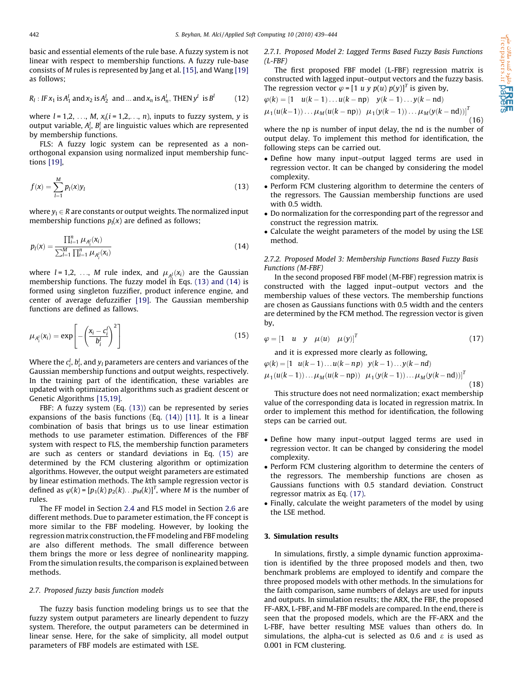basic and essential elements of the rule base. A fuzzy system is not linear with respect to membership functions. A fuzzy rule-base consists of M rules is represented by Jang et al. [\[15\]](#page-5-0), and Wang [\[19\]](#page-5-0) as follows;

$$
R_l: IFx_1 \text{ is } A_1^l \text{ and } x_2 \text{ is } A_2^l \text{ and } ... \text{ and } x_n \text{ is } A_n^l, \text{ THEN } y^l \text{ is } B^l \tag{12}
$$

where  $l = 1, 2, \ldots, M$ ,  $x_i(i = 1, 2, \ldots, n)$ , inputs to fuzzy system, y is output variable,  $A_i^l$ ,  $B_i^l$  are linguistic values which are represented by membership functions.

FLS: A fuzzy logic system can be represented as a nonorthogonal expansion using normalized input membership functions [\[19\]](#page-5-0),

$$
f(x) = \sum_{l=1}^{M} p_l(x) y_l
$$
 (13)

where  $y_1 \in R$  are constants or output weights. The normalized input membership functions  $p_i(x)$  are defined as follows;

$$
p_l(x) = \frac{\prod_{i=1}^n \mu_{A_i^l}(x_i)}{\sum_{l=1}^M \prod_{i=1}^n \mu_{A_i^l}(x_i)}
$$
(14)

where  $l = 1, 2, \ldots, M$  rule index, and  $\mu_{A_i^l}(x_i)$  are the Gaussian membership functions. The fuzzy model in Eqs. (13) and (14) is formed using singleton fuzzifier, product inference engine, and center of average defuzzifier [\[19\]](#page-5-0). The Gaussian membership functions are defined as fallows.

$$
\mu_{A_i^l}(x_i) = \exp\left[-\left(\frac{x_i - c_i^l}{b_i^l}\right)^2\right]
$$
\n(15)

Where the  $c_i^l$ ,  $b_i^l$ , and  $y_l$  parameters are centers and variances of the Gaussian membership functions and output weights, respectively. In the training part of the identification, these variables are updated with optimization algorithms such as gradient descent or Genetic Algorithms [\[15,19\].](#page-5-0)

FBF: A fuzzy system (Eq. (13)) can be represented by series expansions of the basis functions (Eq.  $(14)$ ) [\[11\]](#page-5-0). It is a linear combination of basis that brings us to use linear estimation methods to use parameter estimation. Differences of the FBF system with respect to FLS, the membership function parameters are such as centers or standard deviations in Eq. (15) are determined by the FCM clustering algorithm or optimization algorithms. However, the output weight parameters are estimated by linear estimation methods. The kth sample regression vector is defined as  $\varphi(k) = [p_1(k) p_2(k) \dots p_M(k)]^T$ , where *M* is the number of rules.

The FF model in Section [2.4](#page-2-0) and FLS model in Section [2.6](#page-2-0) are different methods. Due to parameter estimation, the FF concept is more similar to the FBF modeling. However, by looking the regression matrix construction, the FF modeling and FBF modeling are also different methods. The small difference between them brings the more or less degree of nonlinearity mapping. From the simulation results, the comparison is explained between methods.

# 2.7. Proposed fuzzy basis function models

The fuzzy basis function modeling brings us to see that the fuzzy system output parameters are linearly dependent to fuzzy system. Therefore, the output parameters can be determined in linear sense. Here, for the sake of simplicity, all model output parameters of FBF models are estimated with LSE.

2.7.1. Proposed Model 2: Lagged Terms Based Fuzzy Basis Functions (L-FBF)

The first proposed FBF model (L-FBF) regression matrix is constructed with lagged input–output vectors and the fuzzy basis. The regression vector  $\varphi = [1 \ u \ y \ p(u) \ p(y)]^T$  is given by,

$$
\varphi(k) = [1 \quad u(k-1) \dots u(k-np) \quad y(k-1) \dots y(k-nd) \n\mu_1(u(k-1)) \dots \mu_M(u(k-np)) \quad \mu_1(y(k-1)) \dots \mu_M(y(k-nd))]^T
$$

$$
\mu_1(u(\mathbf{x}-\mathbf{1}))\cdots\mu_M(u(\mathbf{x}-\mathbf{1}\mathbf{p}))\mu_1(\mathbf{y}(\mathbf{x}-\mathbf{1}))\cdots\mu_M(\mathbf{y}(\mathbf{x}-\mathbf{1}\mathbf{q}))
$$
\n(16)

where the np is number of input delay, the nd is the number of output delay. To implement this method for identification, the following steps can be carried out.

- Define how many input–output lagged terms are used in regression vector. It can be changed by considering the model complexity.
- Perform FCM clustering algorithm to determine the centers of the regressors. The Gaussian membership functions are used with 0.5 width.
- Do normalization for the corresponding part of the regressor and construct the regression matrix.
- Calculate the weight parameters of the model by using the LSE method.

# 2.7.2. Proposed Model 3: Membership Functions Based Fuzzy Basis Functions (M-FBF)

In the second proposed FBF model (M-FBF) regression matrix is constructed with the lagged input–output vectors and the membership values of these vectors. The membership functions are chosen as Gaussians functions with 0.5 width and the centers are determined by the FCM method. The regression vector is given by,

$$
\varphi = \begin{bmatrix} 1 & u & y & \mu(u) & \mu(y) \end{bmatrix}^T \tag{17}
$$

and it is expressed more clearly as following,

$$
\varphi(k) = \begin{bmatrix} 1 & u(k-1) \dots u(k-np) & y(k-1) \dots y(k-nd) \\ \mu_1(u(k-1)) & \dots \mu_M(u(k-np)) & \mu_1(y(k-1)) \dots \mu_M(y(k-nd)) \end{bmatrix}^T
$$
\n(18)

This structure does not need normalization; exact membership value of the corresponding data is located in regression matrix. In order to implement this method for identification, the following steps can be carried out.

- Define how many input–output lagged terms are used in regression vector. It can be changed by considering the model complexity.
- Perform FCM clustering algorithm to determine the centers of the regressors. The membership functions are chosen as Gaussians functions with 0.5 standard deviation. Construct regressor matrix as Eq. (17).
- Finally, calculate the weight parameters of the model by using the LSE method.

# 3. Simulation results

In simulations, firstly, a simple dynamic function approximation is identified by the three proposed models and then, two benchmark problems are employed to identify and compare the three proposed models with other methods. In the simulations for the faith comparison, same numbers of delays are used for inputs and outputs. In simulation results; the ARX, the FBF, the proposed FF-ARX, L-FBF, and M-FBF models are compared. In the end, there is seen that the proposed models, which are the FF-ARX and the L-FBF, have better resulting MSE values than others do. In simulations, the alpha-cut is selected as 0.6 and  $\varepsilon$  is used as 0.001 in FCM clustering.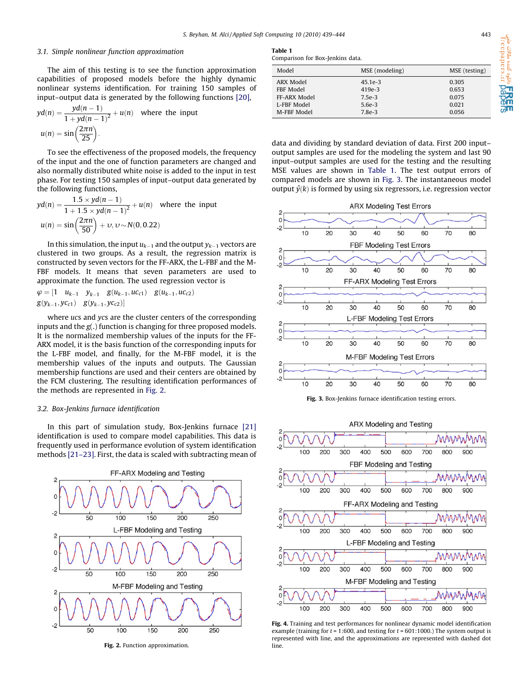#### <span id="page-4-0"></span>3.1. Simple nonlinear function approximation

The aim of this testing is to see the function approximation capabilities of proposed models before the highly dynamic nonlinear systems identification. For training 150 samples of input–output data is generated by the following functions [\[20\],](#page-5-0)

$$
yd(n) = \frac{yd(n-1)}{1 + yd(n-1)^2} + u(n)
$$
 where the input  

$$
u(n) = \sin\left(\frac{2\pi n}{25}\right).
$$

To see the effectiveness of the proposed models, the frequency of the input and the one of function parameters are changed and also normally distributed white noise is added to the input in test phase. For testing 150 samples of input–output data generated by the following functions,

$$
yd(n) = \frac{1.5 \times yd(n-1)}{1 + 1.5 \times yd(n-1)^{2}} + u(n)
$$
 where the input  

$$
u(n) = \sin\left(\frac{2\pi n}{50}\right) + v, v \sim N(0, 0.22)
$$

In this simulation, the input  $u_{k-1}$  and the output  $y_{k-1}$  vectors are clustered in two groups. As a result, the regression matrix is constructed by seven vectors for the FF-ARX, the L-FBF and the M-FBF models. It means that seven parameters are used to approximate the function. The used regression vector is

$$
\varphi = \begin{bmatrix} 1 & u_{k-1} & y_{k-1} & g(u_{k-1}, uc_{c1}) & g(u_{k-1}, uc_{c2}) \\ g(y_{k-1}, yc_{c1}) & g(y_{k-1}, yc_{c2}) \end{bmatrix}
$$

where ucs and ycs are the cluster centers of the corresponding inputs and the g(.) function is changing for three proposed models. It is the normalized membership values of the inputs for the FF-ARX model, it is the basis function of the corresponding inputs for the L-FBF model, and finally, for the M-FBF model, it is the membership values of the inputs and outputs. The Gaussian membership functions are used and their centers are obtained by the FCM clustering. The resulting identification performances of the methods are represented in Fig. 2.

#### 3.2. Box-Jenkins furnace identification

In this part of simulation study, Box-Jenkins furnace [\[21\]](#page-5-0) identification is used to compare model capabilities. This data is frequently used in performance evolution of system identification methods [\[21–23\].](#page-5-0) First, the data is scaled with subtracting mean of



Fig. 2. Function approximation.

| . . |  |
|-----|--|
|     |  |

Comparison for Box-Jenkins data.

| Model        | MSE (modeling) | MSE (testing) |
|--------------|----------------|---------------|
| ARX Model    | $45.1e-3$      | 0.305         |
| FBF Model    | $419e-3$       | 0.653         |
| FF-ARX Model | $7.5e-3$       | 0.075         |
| L-FBF Model  | $5.6e-3$       | 0.021         |
| M-FBF Model  | $7.8e-3$       | 0.056         |
|              |                |               |

data and dividing by standard deviation of data. First 200 input– output samples are used for the modeling the system and last 90 input–output samples are used for the testing and the resulting MSE values are shown in Table 1. The test output errors of compared models are shown in Fig. 3. The instantaneous model output  $\hat{y}(k)$  is formed by using six regressors, i.e. regression vector



Fig. 3. Box-Jenkins furnace identification testing errors.



Fig. 4. Training and test performances for nonlinear dynamic model identification example (training for  $t = 1:600$ , and testing for  $t = 601:1000$ .) The system output is represented with line, and the approximations are represented with dashed dot line.